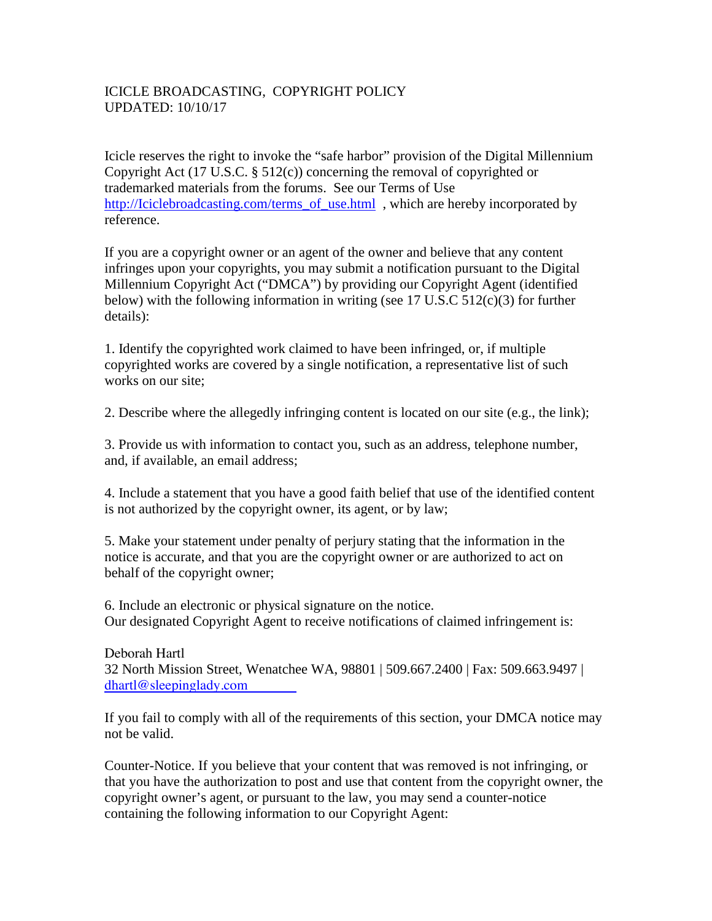## ICICLE BROADCASTING, COPYRIGHT POLICY UPDATED: 10/10/17

Icicle reserves the right to invoke the "safe harbor" provision of the Digital Millennium Copyright Act (17 U.S.C. § 512(c)) concerning the removal of copyrighted or trademarked materials from the forums. See our Terms of Use http://Iciclebroadcasting.com/terms\_of\_use.html , which are hereby incorporated by reference.

If you are a copyright owner or an agent of the owner and believe that any content infringes upon your copyrights, you may submit a notification pursuant to the Digital Millennium Copyright Act ("DMCA") by providing our Copyright Agent (identified below) with the following information in writing (see 17 U.S.C 512(c)(3) for further details):

1. Identify the copyrighted work claimed to have been infringed, or, if multiple copyrighted works are covered by a single notification, a representative list of such works on our site;

2. Describe where the allegedly infringing content is located on our site (e.g., the link);

3. Provide us with information to contact you, such as an address, telephone number, and, if available, an email address;

4. Include a statement that you have a good faith belief that use of the identified content is not authorized by the copyright owner, its agent, or by law;

5. Make your statement under penalty of perjury stating that the information in the notice is accurate, and that you are the copyright owner or are authorized to act on behalf of the copyright owner;

6. Include an electronic or physical signature on the notice. Our designated Copyright Agent to receive notifications of claimed infringement is:

Deborah Hartl 32 North Mission Street, Wenatchee WA, 98801 | 509.667.2400 | Fax: 509.663.9497 | dhartl@sleepinglady.com

If you fail to comply with all of the requirements of this section, your DMCA notice may not be valid.

Counter-Notice. If you believe that your content that was removed is not infringing, or that you have the authorization to post and use that content from the copyright owner, the copyright owner's agent, or pursuant to the law, you may send a counter-notice containing the following information to our Copyright Agent: